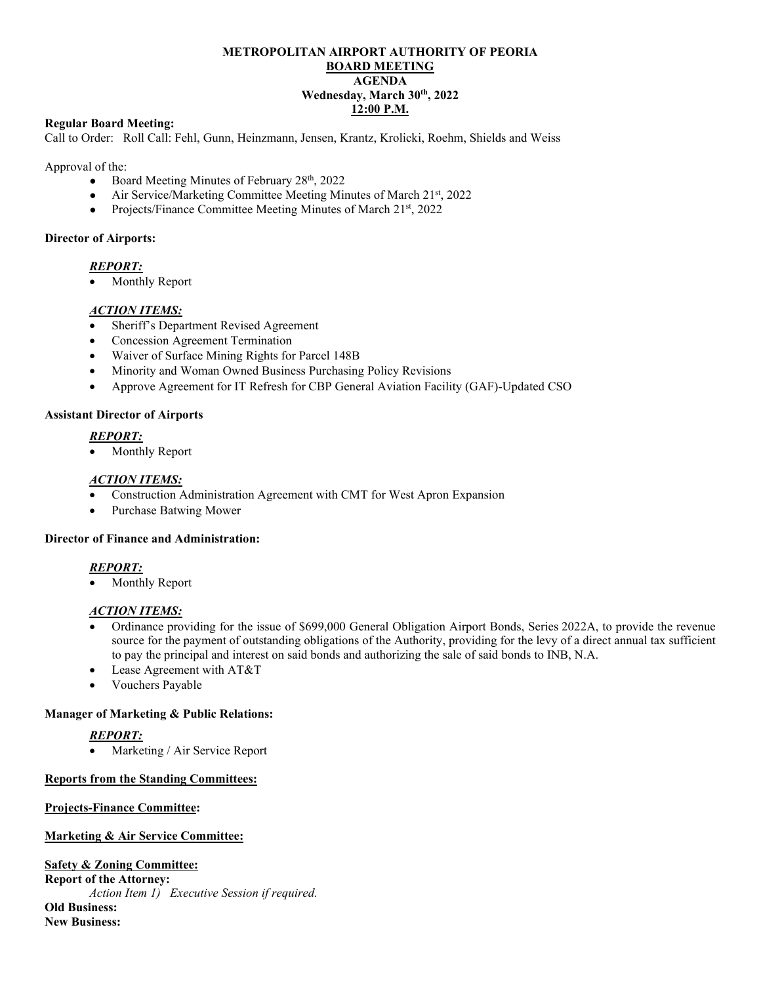# **METROPOLITAN AIRPORT AUTHORITY OF PEORIA BOARD MEETING AGENDA Wednesday, March 30th, 2022 12:00 P.M.**

#### **Regular Board Meeting:**

Call to Order: Roll Call: Fehl, Gunn, Heinzmann, Jensen, Krantz, Krolicki, Roehm, Shields and Weiss

Approval of the:

- Board Meeting Minutes of February  $28<sup>th</sup>$ ,  $2022$
- Air Service/Marketing Committee Meeting Minutes of March 21st, 2022
- Projects/Finance Committee Meeting Minutes of March 21<sup>st</sup>, 2022

#### **Director of Airports:**

# *REPORT:*

• Monthly Report

#### *ACTION ITEMS:*

- Sheriff's Department Revised Agreement
- Concession Agreement Termination
- Waiver of Surface Mining Rights for Parcel 148B
- Minority and Woman Owned Business Purchasing Policy Revisions
- Approve Agreement for IT Refresh for CBP General Aviation Facility (GAF)-Updated CSO

#### **Assistant Director of Airports**

# *REPORT:*

• Monthly Report

#### *ACTION ITEMS:*

- Construction Administration Agreement with CMT for West Apron Expansion
- Purchase Batwing Mower

# **Director of Finance and Administration:**

# *REPORT:*

• Monthly Report

# *ACTION ITEMS:*

- Ordinance providing for the issue of \$699,000 General Obligation Airport Bonds, Series 2022A, to provide the revenue source for the payment of outstanding obligations of the Authority, providing for the levy of a direct annual tax sufficient to pay the principal and interest on said bonds and authorizing the sale of said bonds to INB, N.A.
- Lease Agreement with AT&T
- Vouchers Payable

# **Manager of Marketing & Public Relations:**

# *REPORT:*

Marketing / Air Service Report

# **Reports from the Standing Committees:**

#### **Projects-Finance Committee:**

# **Marketing & Air Service Committee:**

**Safety & Zoning Committee:**

**Report of the Attorney:**  *Action Item 1) Executive Session if required.* **Old Business: New Business:**